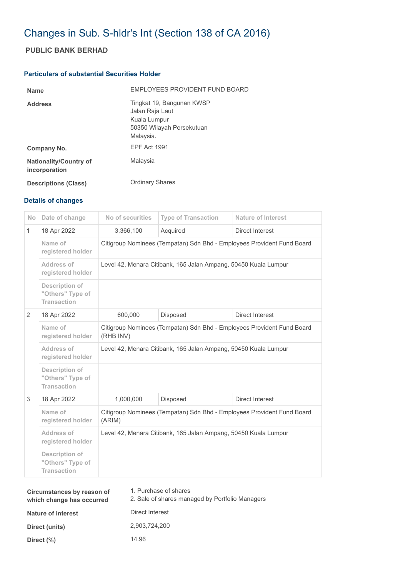# Changes in Sub. S-hldr's Int (Section 138 of CA 2016)

## **PUBLIC BANK BERHAD**

### **Particulars of substantial Securities Holder**

| <b>Name</b>                                    | EMPLOYEES PROVIDENT FUND BOARD                                                                         |
|------------------------------------------------|--------------------------------------------------------------------------------------------------------|
| <b>Address</b>                                 | Tingkat 19, Bangunan KWSP<br>Jalan Raja Laut<br>Kuala Lumpur<br>50350 Wilayah Persekutuan<br>Malaysia. |
| Company No.                                    | <b>EPF Act 1991</b>                                                                                    |
| <b>Nationality/Country of</b><br>incorporation | Malaysia                                                                                               |
| <b>Descriptions (Class)</b>                    | <b>Ordinary Shares</b>                                                                                 |

### **Details of changes**

| <b>No</b>      | Date of change                                                  | No of securities                                                                    | <b>Type of Transaction</b> | <b>Nature of Interest</b> |  |
|----------------|-----------------------------------------------------------------|-------------------------------------------------------------------------------------|----------------------------|---------------------------|--|
| $\mathbf{1}$   | 18 Apr 2022                                                     | 3,366,100                                                                           | Acquired                   | <b>Direct Interest</b>    |  |
|                | Name of<br>registered holder                                    | Citigroup Nominees (Tempatan) Sdn Bhd - Employees Provident Fund Board              |                            |                           |  |
|                | Address of<br>registered holder                                 | Level 42, Menara Citibank, 165 Jalan Ampang, 50450 Kuala Lumpur                     |                            |                           |  |
|                | Description of<br>"Others" Type of<br><b>Transaction</b>        |                                                                                     |                            |                           |  |
| $\overline{2}$ | 18 Apr 2022                                                     | 600,000                                                                             | Disposed                   | <b>Direct Interest</b>    |  |
|                | Name of<br>registered holder                                    | Citigroup Nominees (Tempatan) Sdn Bhd - Employees Provident Fund Board<br>(RHB INV) |                            |                           |  |
|                | Address of<br>registered holder                                 | Level 42, Menara Citibank, 165 Jalan Ampang, 50450 Kuala Lumpur                     |                            |                           |  |
|                | <b>Description of</b><br>"Others" Type of<br><b>Transaction</b> |                                                                                     |                            |                           |  |
| 3              | 18 Apr 2022                                                     | 1,000,000                                                                           | Disposed                   | Direct Interest           |  |
|                | Name of<br>registered holder                                    | Citigroup Nominees (Tempatan) Sdn Bhd - Employees Provident Fund Board<br>(ARIM)    |                            |                           |  |
|                | Address of<br>registered holder                                 | Level 42, Menara Citibank, 165 Jalan Ampang, 50450 Kuala Lumpur                     |                            |                           |  |
|                | Description of<br>"Others" Type of<br><b>Transaction</b>        |                                                                                     |                            |                           |  |

| Circumstances by reason of<br>which change has occurred | 1. Purchase of shares<br>2. Sale of shares managed by Portfolio Managers |
|---------------------------------------------------------|--------------------------------------------------------------------------|
| <b>Nature of interest</b>                               | Direct Interest                                                          |
| Direct (units)                                          | 2,903,724,200                                                            |
| Direct $(\%)$                                           | 14.96                                                                    |